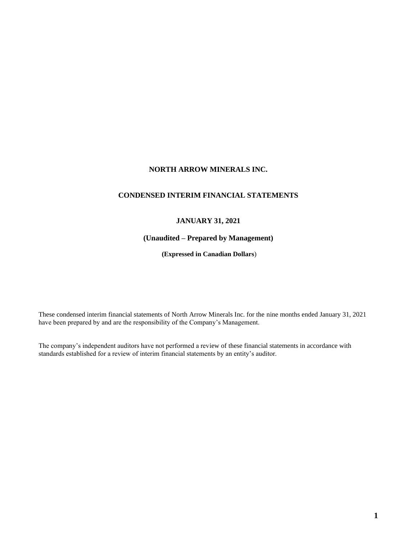# **NORTH ARROW MINERALS INC.**

# **CONDENSED INTERIM FINANCIAL STATEMENTS**

# **JANUARY 31, 2021**

# **(Unaudited – Prepared by Management)**

**(Expressed in Canadian Dollars**)

These condensed interim financial statements of North Arrow Minerals Inc. for the nine months ended January 31, 2021 have been prepared by and are the responsibility of the Company's Management.

The company's independent auditors have not performed a review of these financial statements in accordance with standards established for a review of interim financial statements by an entity's auditor.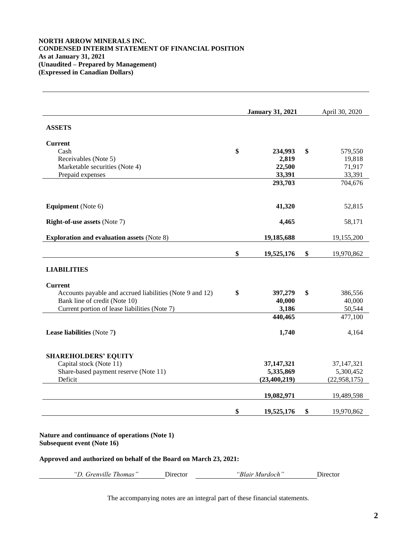# **NORTH ARROW MINERALS INC. CONDENSED INTERIM STATEMENT OF FINANCIAL POSITION As at January 31, 2021 (Unaudited – Prepared by Management) (Expressed in Canadian Dollars)**

|                                                          | <b>January 31, 2021</b> | April 30, 2020   |
|----------------------------------------------------------|-------------------------|------------------|
| <b>ASSETS</b>                                            |                         |                  |
| <b>Current</b>                                           |                         |                  |
| Cash                                                     | \$<br>234,993           | \$<br>579,550    |
| Receivables (Note 5)                                     | 2,819                   | 19,818           |
| Marketable securities (Note 4)                           | 22,500                  | 71,917           |
| Prepaid expenses                                         | 33,391                  | 33,391           |
|                                                          | 293,703                 | 704,676          |
| <b>Equipment</b> (Note 6)                                | 41,320                  | 52,815           |
| <b>Right-of-use assets (Note 7)</b>                      | 4,465                   | 58,171           |
| <b>Exploration and evaluation assets (Note 8)</b>        | 19,185,688              | 19,155,200       |
|                                                          | \$<br>19,525,176        | \$<br>19,970,862 |
| <b>LIABILITIES</b>                                       |                         |                  |
| <b>Current</b>                                           |                         |                  |
| Accounts payable and accrued liabilities (Note 9 and 12) | \$<br>397,279           | \$<br>386,556    |
| Bank line of credit (Note 10)                            | 40,000                  | 40,000           |
| Current portion of lease liabilities (Note 7)            | 3,186                   | 50,544           |
|                                                          | 440,465                 | 477,100          |
| Lease liabilities (Note 7)                               | 1,740                   | 4,164            |
| <b>SHAREHOLDERS' EQUITY</b>                              |                         |                  |
| Capital stock (Note 11)                                  | 37,147,321              | 37, 147, 321     |
| Share-based payment reserve (Note 11)                    | 5,335,869               | 5,300,452        |
|                                                          | (23, 400, 219)          | (22,958,175)     |
| Deficit                                                  |                         | 19,489,598       |
|                                                          | 19,082,971              |                  |

*"D. Grenville Thomas"* Director *"Blair Murdoch"* Director

The accompanying notes are an integral part of these financial statements.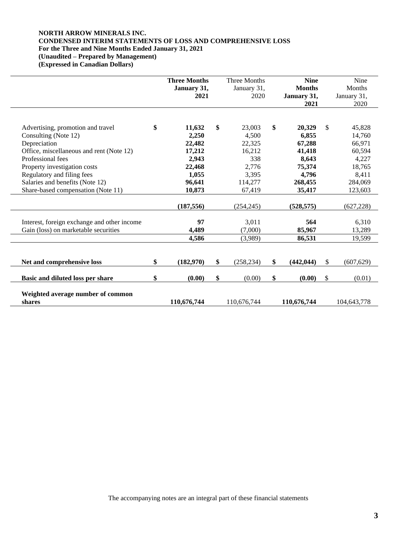# **NORTH ARROW MINERALS INC. CONDENSED INTERIM STATEMENTS OF LOSS AND COMPREHENSIVE LOSS For the Three and Nine Months Ended January 31, 2021 (Unaudited – Prepared by Management)**

**(Expressed in Canadian Dollars)**

|                                             | <b>Three Months</b><br><b>Three Months</b><br>January 31,<br>January 31,<br>2021<br>2020 |    | <b>Nine</b><br><b>Months</b><br>January 31, |                  | Nine<br>Months<br>January 31, |             |
|---------------------------------------------|------------------------------------------------------------------------------------------|----|---------------------------------------------|------------------|-------------------------------|-------------|
|                                             |                                                                                          |    |                                             | 2021             |                               | 2020        |
| Advertising, promotion and travel           | \$<br>11,632                                                                             | \$ | 23,003                                      | \$<br>20,329     | \$                            | 45,828      |
| Consulting (Note 12)                        | 2,250                                                                                    |    | 4,500                                       | 6,855            |                               | 14,760      |
| Depreciation                                | 22,482                                                                                   |    | 22,325                                      | 67,288           |                               | 66,971      |
| Office, miscellaneous and rent (Note 12)    | 17,212                                                                                   |    | 16,212                                      | 41,418           |                               | 60,594      |
| Professional fees                           | 2,943                                                                                    |    | 338                                         | 8,643            |                               | 4,227       |
| Property investigation costs                | 22,468                                                                                   |    | 2,776                                       | 75,374           |                               | 18,765      |
| Regulatory and filing fees                  | 1,055                                                                                    |    | 3,395                                       | 4,796            |                               | 8,411       |
| Salaries and benefits (Note 12)             | 96,641                                                                                   |    | 114,277                                     | 268,455          |                               | 284,069     |
| Share-based compensation (Note 11)          | 10,873                                                                                   |    | 67,419                                      | 35,417           |                               | 123,603     |
|                                             | (187, 556)                                                                               |    | (254, 245)                                  | (528, 575)       |                               | (627, 228)  |
|                                             |                                                                                          |    |                                             |                  |                               |             |
| Interest, foreign exchange and other income | 97                                                                                       |    | 3,011                                       | 564              |                               | 6,310       |
| Gain (loss) on marketable securities        | 4,489                                                                                    |    | (7.000)                                     | 85,967           |                               | 13,289      |
|                                             | 4,586                                                                                    |    | (3,989)                                     | 86,531           |                               | 19,599      |
|                                             |                                                                                          |    |                                             |                  |                               |             |
| Net and comprehensive loss                  | \$<br>(182, 970)                                                                         | \$ | (258, 234)                                  | \$<br>(442, 044) | \$                            | (607, 629)  |
| Basic and diluted loss per share            | \$<br>(0.00)                                                                             | \$ | (0.00)                                      | \$<br>(0.00)     | \$                            | (0.01)      |
| Weighted average number of common<br>shares | 110,676,744                                                                              |    | 110,676,744                                 | 110,676,744      |                               | 104,643,778 |

The accompanying notes are an integral part of these financial statements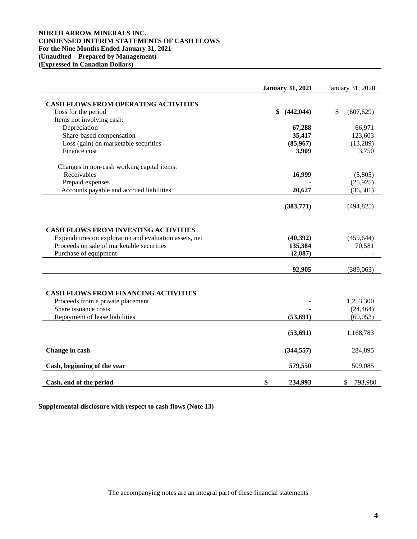# **NORTH ARROW MINERALS INC. CONDENSED INTERIM STATEMENTS OF CASH FLOWS For the Nine Months Ended January 31, 2021 (Unaudited – Prepared by Management) (Expressed in Canadian Dollars)**

|                                                                    | <b>January 31, 2021</b> | January 31, 2020 |
|--------------------------------------------------------------------|-------------------------|------------------|
| <b>CASH FLOWS FROM OPERATING ACTIVITIES</b>                        |                         |                  |
| Loss for the period                                                | \$<br>(442, 044)        | \$<br>(607, 629) |
| Items not involving cash:                                          |                         |                  |
| Depreciation                                                       | 67,288                  | 66,971           |
| Share-based compensation                                           | 35,417                  | 123,603          |
| Loss (gain) on marketable securities                               | (85,967)                | (13,289)         |
| Finance cost                                                       | 3,909                   | 3,750            |
| Changes in non-cash working capital items:                         |                         |                  |
| Receivables                                                        | 16,999                  | (5,805)          |
| Prepaid expenses                                                   |                         | (25, 925)        |
| Accounts payable and accrued liabilities                           | 20,627                  | (36,501)         |
|                                                                    | (383,771)               | (494, 825)       |
| Proceeds on sale of marketable securities<br>Purchase of equipment | 135,384<br>(2,087)      | 70,581           |
|                                                                    | 92,905                  | (389,063)        |
| <b>CASH FLOWS FROM FINANCING ACTIVITIES</b>                        |                         |                  |
| Proceeds from a private placement                                  |                         | 1,253,300        |
| Share issuance costs                                               |                         | (24, 464)        |
| Repayment of lease liabilities                                     | (53, 691)               | (60, 053)        |
|                                                                    | (53, 691)               | 1,168,783        |
| Change in cash                                                     | (344, 557)              | 284,895          |
| Cash, beginning of the year                                        | 579,550                 | 509,085          |
| Cash, end of the period                                            | \$<br>234,993           | \$<br>793,980    |

**Supplemental disclosure with respect to cash flows (Note 13)**

The accompanying notes are an integral part of these financial statements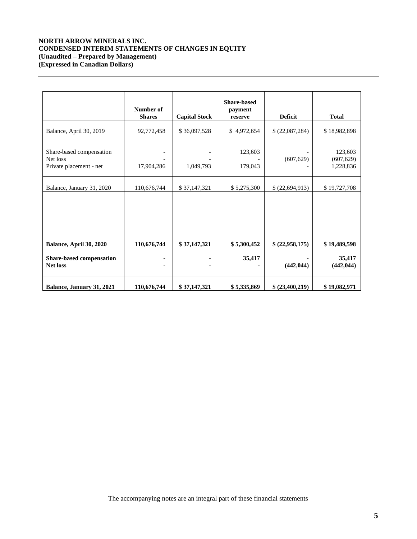# **NORTH ARROW MINERALS INC. CONDENSED INTERIM STATEMENTS OF CHANGES IN EQUITY (Unaudited – Prepared by Management) (Expressed in Canadian Dollars)**

|                                                                                            | Number of<br><b>Shares</b> | <b>Capital Stock</b>      | <b>Share-based</b><br>payment<br>reserve | <b>Deficit</b>               | <b>Total</b>                                       |
|--------------------------------------------------------------------------------------------|----------------------------|---------------------------|------------------------------------------|------------------------------|----------------------------------------------------|
| Balance, April 30, 2019<br>Share-based compensation<br>Net loss<br>Private placement - net | 92,772,458<br>17,904,286   | \$36,097,528<br>1,049,793 | \$4,972,654<br>123,603<br>179,043        | \$(22,087,284)<br>(607, 629) | \$18,982,898<br>123,603<br>(607, 629)<br>1,228,836 |
| Balance, January 31, 2020                                                                  | 110,676,744                | \$37,147,321              | \$5,275,300                              | \$(22,694,913)               | \$19,727,708                                       |
| Balance, April 30, 2020<br>Share-based compensation<br><b>Net loss</b>                     | 110,676,744                | \$37,147,321              | \$5,300,452<br>35,417                    | \$(22,958,175)<br>(442, 044) | \$19,489,598<br>35,417<br>(442, 044)               |
| Balance, January 31, 2021                                                                  | 110,676,744                | \$37,147,321              | \$5,335,869                              | \$ (23,400,219)              | \$19,082,971                                       |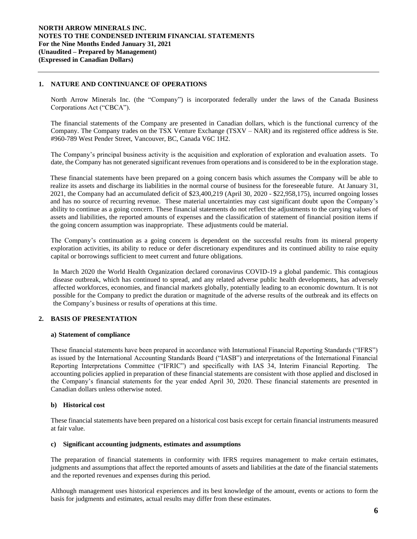# **1. NATURE AND CONTINUANCE OF OPERATIONS**

North Arrow Minerals Inc. (the "Company") is incorporated federally under the laws of the Canada Business Corporations Act ("CBCA").

The financial statements of the Company are presented in Canadian dollars, which is the functional currency of the Company. The Company trades on the TSX Venture Exchange (TSXV – NAR) and its registered office address is Ste. #960-789 West Pender Street, Vancouver, BC, Canada V6C 1H2.

The Company's principal business activity is the acquisition and exploration of exploration and evaluation assets. To date, the Company has not generated significant revenues from operations and is considered to be in the exploration stage.

These financial statements have been prepared on a going concern basis which assumes the Company will be able to realize its assets and discharge its liabilities in the normal course of business for the foreseeable future. At January 31, 2021, the Company had an accumulated deficit of \$23,400,219 (April 30, 2020 - \$22,958,175), incurred ongoing losses and has no source of recurring revenue. These material uncertainties may cast significant doubt upon the Company's ability to continue as a going concern. These financial statements do not reflect the adjustments to the carrying values of assets and liabilities, the reported amounts of expenses and the classification of statement of financial position items if the going concern assumption was inappropriate. These adjustments could be material.

The Company's continuation as a going concern is dependent on the successful results from its mineral property exploration activities, its ability to reduce or defer discretionary expenditures and its continued ability to raise equity capital or borrowings sufficient to meet current and future obligations.

In March 2020 the World Health Organization declared coronavirus COVID-19 a global pandemic. This contagious disease outbreak, which has continued to spread, and any related adverse public health developments, has adversely affected workforces, economies, and financial markets globally, potentially leading to an economic downturn. It is not possible for the Company to predict the duration or magnitude of the adverse results of the outbreak and its effects on the Company's business or results of operations at this time.

# **2. BASIS OF PRESENTATION**

#### **a) Statement of compliance**

These financial statements have been prepared in accordance with International Financial Reporting Standards ("IFRS") as issued by the International Accounting Standards Board ("IASB") and interpretations of the International Financial Reporting Interpretations Committee ("IFRIC") and specifically with IAS 34, Interim Financial Reporting. The accounting policies applied in preparation of these financial statements are consistent with those applied and disclosed in the Company's financial statements for the year ended April 30, 2020. These financial statements are presented in Canadian dollars unless otherwise noted.

#### **b) Historical cost**

These financial statements have been prepared on a historical cost basis except for certain financial instruments measured at fair value.

#### **c) Significant accounting judgments, estimates and assumptions**

The preparation of financial statements in conformity with IFRS requires management to make certain estimates, judgments and assumptions that affect the reported amounts of assets and liabilities at the date of the financial statements and the reported revenues and expenses during this period.

Although management uses historical experiences and its best knowledge of the amount, events or actions to form the basis for judgments and estimates, actual results may differ from these estimates.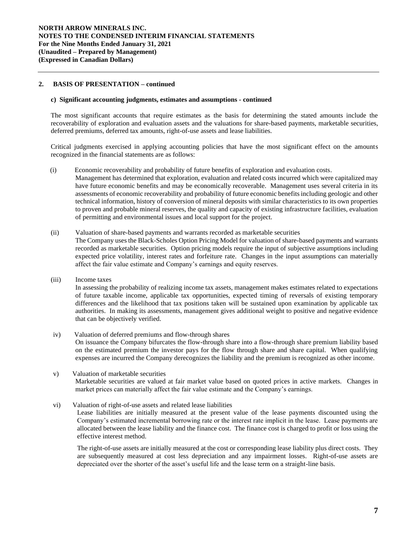## **2. BASIS OF PRESENTATION – continued**

#### **c) Significant accounting judgments, estimates and assumptions** *-* **continued**

The most significant accounts that require estimates as the basis for determining the stated amounts include the recoverability of exploration and evaluation assets and the valuations for share-based payments, marketable securities, deferred premiums, deferred tax amounts, right-of-use assets and lease liabilities.

Critical judgments exercised in applying accounting policies that have the most significant effect on the amounts recognized in the financial statements are as follows:

- (i) Economic recoverability and probability of future benefits of exploration and evaluation costs*.*  Management has determined that exploration, evaluation and related costs incurred which were capitalized may have future economic benefits and may be economically recoverable. Management uses several criteria in its assessments of economic recoverability and probability of future economic benefits including geologic and other technical information, history of conversion of mineral deposits with similar characteristics to its own properties to proven and probable mineral reserves, the quality and capacity of existing infrastructure facilities, evaluation of permitting and environmental issues and local support for the project.
- (ii) Valuation of share-based payments and warrants recorded as marketable securities The Company uses the Black-Scholes Option Pricing Model for valuation of share-based payments and warrants recorded as marketable securities. Option pricing models require the input of subjective assumptions including expected price volatility, interest rates and forfeiture rate. Changes in the input assumptions can materially affect the fair value estimate and Company's earnings and equity reserves.
- (iii) Income taxes

In assessing the probability of realizing income tax assets, management makes estimates related to expectations of future taxable income, applicable tax opportunities, expected timing of reversals of existing temporary differences and the likelihood that tax positions taken will be sustained upon examination by applicable tax authorities. In making its assessments, management gives additional weight to positive and negative evidence that can be objectively verified.

- iv) Valuation of deferred premiums and flow-through shares On issuance the Company bifurcates the flow-through share into a flow-through share premium liability based on the estimated premium the investor pays for the flow through share and share capital. When qualifying expenses are incurred the Company derecognizes the liability and the premium is recognized as other income.
- v) Valuation of marketable securities Marketable securities are valued at fair market value based on quoted prices in active markets. Changes in market prices can materially affect the fair value estimate and the Company's earnings.
- vi) Valuation of right-of-use assets and related lease liabilities

Lease liabilities are initially measured at the present value of the lease payments discounted using the Company's estimated incremental borrowing rate or the interest rate implicit in the lease. Lease payments are allocated between the lease liability and the finance cost. The finance cost is charged to profit or loss using the effective interest method.

The right-of-use assets are initially measured at the cost or corresponding lease liability plus direct costs. They are subsequently measured at cost less depreciation and any impairment losses. Right-of-use assets are depreciated over the shorter of the asset's useful life and the lease term on a straight-line basis.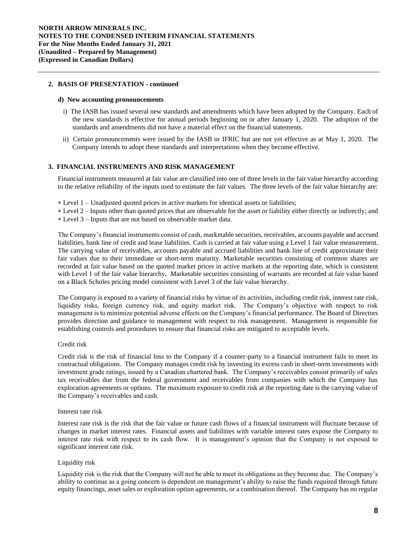#### **2. BASIS OF PRESENTATION - continued**

#### **d) New accounting pronouncements**

- i) The IASB has issued several new standards and amendments which have been adopted by the Company. Each of the new standards is effective for annual periods beginning on or after January 1, 2020. The adoption of the standards and amendments did not have a material effect on the financial statements.
- ii) Certain pronouncements were issued by the IASB or IFRIC but are not yet effective as at May 1, 2020. The Company intends to adopt these standards and interpretations when they become effective.

### **3. FINANCIAL INSTRUMENTS AND RISK MANAGEMENT**

Financial instruments measured at fair value are classified into one of three levels in the fair value hierarchy according to the relative reliability of the inputs used to estimate the fair values. The three levels of the fair value hierarchy are:

- Level 1 Unadjusted quoted prices in active markets for identical assets or liabilities;
- Level 2 Inputs other than quoted prices that are observable for the asset or liability either directly or indirectly; and Level 3 – Inputs that are not based on observable market data.
- 

The Company's financial instruments consist of cash, marketable securities, receivables, accounts payable and accrued liabilities, bank line of credit and lease liabilities. Cash is carried at fair value using a Level 1 fair value measurement. The carrying value of receivables, accounts payable and accrued liabilities and bank line of credit approximate their fair values due to their immediate or short-term maturity. Marketable securities consisting of common shares are recorded at fair value based on the quoted market prices in active markets at the reporting date, which is consistent with Level 1 of the fair value hierarchy**.** Marketable securities consisting of warrants are recorded at fair value based on a Black Scholes pricing model consistent with Level 3 of the fair value hierarchy.

The Company is exposed to a variety of financial risks by virtue of its activities, including credit risk, interest rate risk, liquidity risks, foreign currency risk, and equity market risk. The Company's objective with respect to risk management is to minimize potential adverse effects on the Company's financial performance. The Board of Directors provides direction and guidance to management with respect to risk management. Management is responsible for establishing controls and procedures to ensure that financial risks are mitigated to acceptable levels.

#### Credit risk

Credit risk is the risk of financial loss to the Company if a counter-party to a financial instrument fails to meet its contractual obligations. The Company manages credit risk by investing its excess cash in short-term investments with investment grade ratings, issued by a Canadian chartered bank. The Company's receivables consist primarily of sales tax receivables due from the federal government and receivables from companies with which the Company has exploration agreements or options. The maximum exposure to credit risk at the reporting date is the carrying value of the Company's receivables and cash.

#### Interest rate risk

Interest rate risk is the risk that the fair value or future cash flows of a financial instrument will fluctuate because of changes in market interest rates. Financial assets and liabilities with variable interest rates expose the Company to interest rate risk with respect to its cash flow. It is management's opinion that the Company is not exposed to significant interest rate risk.

#### Liquidity risk

Liquidity risk is the risk that the Company will not be able to meet its obligations as they become due. The Company's ability to continue as a going concern is dependent on management's ability to raise the funds required through future equity financings, asset sales or exploration option agreements, or a combination thereof. The Company has no regular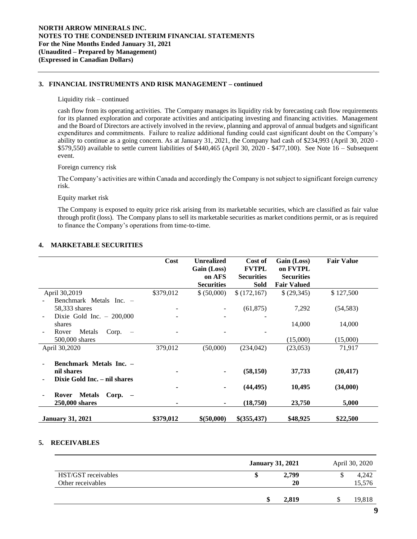## **3. FINANCIAL INSTRUMENTS AND RISK MANAGEMENT – continued**

#### Liquidity risk – continued

cash flow from its operating activities. The Company manages its liquidity risk by forecasting cash flow requirements for its planned exploration and corporate activities and anticipating investing and financing activities. Management and the Board of Directors are actively involved in the review, planning and approval of annual budgets and significant expenditures and commitments. Failure to realize additional funding could cast significant doubt on the Company's ability to continue as a going concern. As at January 31, 2021, the Company had cash of \$234,993 (April 30, 2020 - \$579,550) available to settle current liabilities of \$440,465 (April 30, 2020 - \$477,100). See Note 16 – Subsequent event.

#### Foreign currency risk

The Company's activities are within Canada and accordingly the Company is not subject to significant foreign currency risk.

#### Equity market risk

The Company is exposed to equity price risk arising from its marketable securities, which are classified as fair value through profit (loss). The Company plans to sell its marketable securities as market conditions permit, or as is required to finance the Company's operations from time-to-time.

#### **4. MARKETABLE SECURITIES**

|                                                                       | Cost      | <b>Unrealized</b><br>Gain (Loss)<br>on AFS<br><b>Securities</b> | Cost of<br><b>FVTPL</b><br><b>Securities</b><br><b>Sold</b> | Gain (Loss)<br>on FVTPL<br><b>Securities</b><br><b>Fair Valued</b> | <b>Fair Value</b> |
|-----------------------------------------------------------------------|-----------|-----------------------------------------------------------------|-------------------------------------------------------------|--------------------------------------------------------------------|-------------------|
| April 30,2019                                                         | \$379,012 | \$ (50,000)                                                     | \$(172,167)                                                 | \$ (29,345)                                                        | \$127,500         |
| Benchmark Metals Inc. -                                               |           |                                                                 |                                                             |                                                                    |                   |
| 58,333 shares                                                         |           |                                                                 | (61, 875)                                                   | 7,292                                                              | (54, 583)         |
| Dixie Gold Inc. $-200,000$                                            |           |                                                                 |                                                             |                                                                    |                   |
| shares                                                                |           |                                                                 |                                                             | 14,000                                                             | 14,000            |
| Metals<br>Corp.<br>Rover<br>$\overline{\phantom{0}}$                  |           |                                                                 |                                                             |                                                                    |                   |
| 500,000 shares                                                        |           |                                                                 |                                                             | (15,000)                                                           | (15,000)          |
| April 30,2020                                                         | 379,012   | (50,000)                                                        | (234, 042)                                                  | (23,053)                                                           | 71,917            |
| Benchmark Metals Inc. -<br>nil shares<br>Dixie Gold Inc. – nil shares |           |                                                                 | (58, 150)                                                   | 37,733                                                             | (20, 417)         |
|                                                                       |           |                                                                 | (44, 495)                                                   | 10,495                                                             | (34,000)          |
| <b>Metals</b><br>$Corp. -$<br>Rover<br>250,000 shares                 | ۰         |                                                                 | (18,750)                                                    | 23,750                                                             | 5,000             |
| <b>January 31, 2021</b>                                               | \$379,012 | \$(50,000)                                                      | \$(355,437)                                                 | \$48,925                                                           | \$22,500          |

### **5. RECEIVABLES**

|                                          | <b>January 31, 2021</b> | April 30, 2020  |
|------------------------------------------|-------------------------|-----------------|
| HST/GST receivables<br>Other receivables | 2,799<br>20             | 4,242<br>15,576 |
|                                          | 2,819                   | 19,818          |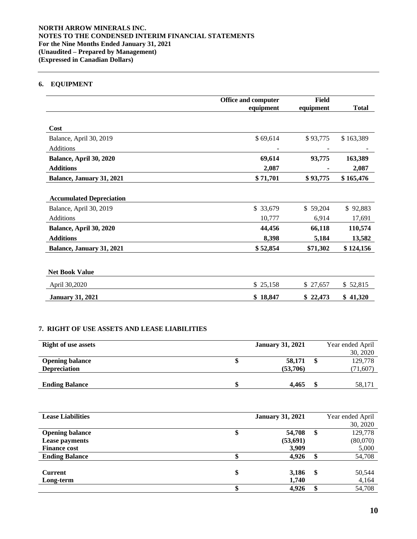# **6. EQUIPMENT**

|                                 | Office and computer | Field     |              |
|---------------------------------|---------------------|-----------|--------------|
|                                 | equipment           | equipment | <b>Total</b> |
|                                 |                     |           |              |
| Cost                            |                     |           |              |
| Balance, April 30, 2019         | \$69,614            | \$93,775  | \$163,389    |
| <b>Additions</b>                |                     |           |              |
| Balance, April 30, 2020         | 69,614              | 93,775    | 163,389      |
| <b>Additions</b>                | 2,087               |           | 2,087        |
| Balance, January 31, 2021       | \$71,701            | \$93,775  | \$165,476    |
|                                 |                     |           |              |
| <b>Accumulated Depreciation</b> |                     |           |              |
| Balance, April 30, 2019         | \$ 33,679           | \$59,204  | \$92,883     |
| <b>Additions</b>                | 10,777              | 6,914     | 17,691       |
| Balance, April 30, 2020         | 44,456              | 66,118    | 110,574      |
| <b>Additions</b>                | 8,398               | 5,184     | 13,582       |
| Balance, January 31, 2021       | \$52,854            | \$71,302  | \$124,156    |
|                                 |                     |           |              |
| <b>Net Book Value</b>           |                     |           |              |
| April 30,2020                   | \$25,158            | \$27,657  | \$52,815     |
| <b>January 31, 2021</b>         | \$18,847            | \$22,473  | \$41,320     |

# **7. RIGHT OF USE ASSETS AND LEASE LIABILITIES**

| <b>Right of use assets</b> | <b>January 31, 2021</b> | Year ended April |
|----------------------------|-------------------------|------------------|
|                            |                         | 30, 2020         |
| <b>Opening balance</b>     | 58,171                  | 129,778          |
| <b>Depreciation</b>        | (53,706)                | (71, 607)        |
|                            |                         |                  |
| <b>Ending Balance</b>      | 4,465                   | 58,171           |

| <b>Lease Liabilities</b> |    | <b>January 31, 2021</b> |    | Year ended April |
|--------------------------|----|-------------------------|----|------------------|
|                          |    |                         |    | 30, 2020         |
| <b>Opening balance</b>   | ⊅  | 54,708                  | S  | 129,778          |
| <b>Lease payments</b>    |    | (53,691)                |    | (80,070)         |
| <b>Finance cost</b>      |    | 3,909                   |    | 5,000            |
| <b>Ending Balance</b>    |    | 4,926                   |    | 54,708           |
|                          |    |                         |    |                  |
| <b>Current</b>           | \$ | 3,186                   | \$ | 50,544           |
| Long-term                |    | 1,740                   |    | 4,164            |
|                          |    | 4,926                   |    | 54,708           |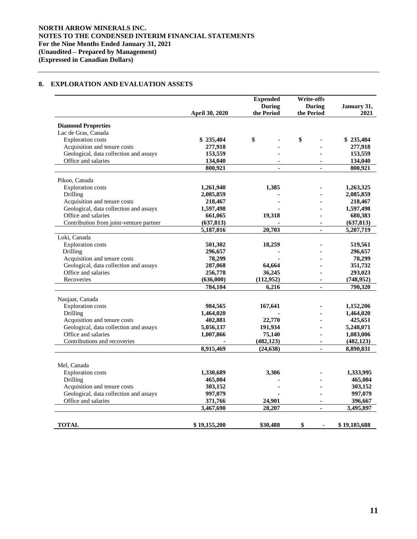# **8. EXPLORATION AND EVALUATION ASSETS**

|                                         | <b>April 30, 2020</b> | <b>Expended</b><br><b>During</b><br>the Period | <b>Write-offs</b><br><b>During</b><br>the Period | January 31,<br>2021 |
|-----------------------------------------|-----------------------|------------------------------------------------|--------------------------------------------------|---------------------|
|                                         |                       |                                                |                                                  |                     |
| <b>Diamond Properties</b>               |                       |                                                |                                                  |                     |
| Lac de Gras, Canada                     |                       |                                                |                                                  |                     |
| <b>Exploration</b> costs                | \$235,404             | \$                                             | \$                                               | \$235,404           |
| Acquisition and tenure costs            | 277,918               |                                                |                                                  | 277,918             |
| Geological, data collection and assays  | 153,559               |                                                |                                                  | 153,559             |
| Office and salaries                     | 134,040               |                                                |                                                  | 134,040             |
|                                         | 800,921               | ÷.                                             | ÷.                                               | 800,921             |
| Pikoo, Canada                           |                       |                                                |                                                  |                     |
| <b>Exploration</b> costs                | 1,261,940             | 1,385                                          |                                                  | 1,263,325           |
| Drilling                                | 2,085,859             |                                                |                                                  | 2,085,859           |
| Acquisition and tenure costs            | 218,467               |                                                |                                                  | 218,467             |
| Geological, data collection and assays  | 1,597,498             |                                                |                                                  | 1,597,498           |
| Office and salaries                     | 661,065               | 19,318                                         |                                                  | 680,383             |
| Contribution from joint-venture partner | (637, 813)            |                                                | $\blacksquare$                                   | (637, 813)          |
|                                         | 5,187,016             | 20,703                                         | $\blacksquare$                                   | 5,207,719           |
| Loki, Canada                            |                       |                                                |                                                  |                     |
| <b>Exploration</b> costs                | 501,302               | 18,259                                         |                                                  | 519,561             |
| Drilling                                | 296,657               |                                                |                                                  | 296,657             |
| Acquisition and tenure costs            | 78,299                |                                                |                                                  | 78,299              |
| Geological, data collection and assays  | 287,068               | 64,664                                         |                                                  | 351,732             |
| Office and salaries                     | 256,778               | 36,245                                         |                                                  | 293,023             |
| Recoveries                              | (636,000)             | (112, 952)                                     |                                                  | (748, 952)          |
|                                         | 784,104               | 6.216                                          |                                                  | 790,320             |
| Naujaat, Canada                         |                       |                                                |                                                  |                     |
| Exploration costs                       | 984,565               | 167,641                                        |                                                  | 1,152,206           |
| Drilling                                | 1,464,020             |                                                |                                                  | 1,464,020           |
| Acquisition and tenure costs            | 402,881               | 22,770                                         |                                                  | 425,651             |
| Geological, data collection and assays  | 5,056,137             | 191,934                                        |                                                  | 5,248,071           |
| Office and salaries                     | 1,007,866             | 75,140                                         |                                                  | 1,083,006           |
| Contributions and recoveries            |                       | (482, 123)                                     | $\blacksquare$                                   | (482, 123)          |
|                                         | 8,915,469             | (24, 638)                                      | $\mathbf{r}$                                     | 8.890.831           |
|                                         |                       |                                                |                                                  |                     |
| Mel, Canada                             |                       |                                                |                                                  |                     |
| <b>Exploration costs</b>                | 1,330,689             | 3,306                                          |                                                  | 1,333,995           |
| Drilling                                | 465,004               |                                                |                                                  | 465,004             |
| Acquisition and tenure costs            | 303,152               |                                                |                                                  | 303,152             |
| Geological, data collection and assays  | 997,079               |                                                |                                                  | 997,079             |
| Office and salaries                     | 371,766               | 24,901                                         |                                                  | 396,667             |
|                                         | 3,467,690             | 28,207                                         | $\sim$                                           | 3,495,897           |
|                                         |                       |                                                |                                                  |                     |
| <b>TOTAL</b>                            | \$19,155,200          | \$30,488                                       | \$<br>$\blacksquare$                             | \$19,185,688        |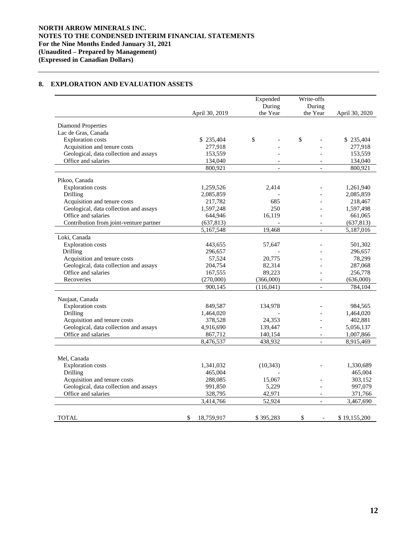# **8. EXPLORATION AND EVALUATION ASSETS**

|                                                                        |                         | Expended<br>During | Write-offs<br>During     |                         |
|------------------------------------------------------------------------|-------------------------|--------------------|--------------------------|-------------------------|
|                                                                        | April 30, 2019          | the Year           | the Year                 | April 30, 2020          |
| Diamond Properties                                                     |                         |                    |                          |                         |
| Lac de Gras, Canada                                                    |                         |                    |                          |                         |
| <b>Exploration</b> costs                                               | \$235,404               | \$                 | \$                       | \$235,404               |
| Acquisition and tenure costs                                           | 277,918                 |                    |                          | 277,918                 |
| Geological, data collection and assays                                 | 153,559                 |                    |                          | 153,559                 |
| Office and salaries                                                    | 134,040                 |                    |                          | 134,040                 |
|                                                                        | 800,921                 | $\overline{a}$     |                          | 800,921                 |
|                                                                        |                         |                    |                          |                         |
| Pikoo, Canada                                                          |                         |                    |                          |                         |
| <b>Exploration</b> costs                                               | 1,259,526               | 2,414              |                          | 1,261,940               |
| Drilling                                                               | 2,085,859               |                    |                          | 2,085,859               |
| Acquisition and tenure costs<br>Geological, data collection and assays | 217,782                 | 685<br>250         |                          | 218,467                 |
| Office and salaries                                                    | 1,597,248               |                    |                          | 1,597,498               |
| Contribution from joint-venture partner                                | 644,946                 | 16,119             | $\overline{\phantom{a}}$ | 661,065                 |
|                                                                        | (637, 813)<br>5,167,548 | 19,468             | $\equiv$                 | (637, 813)<br>5,187,016 |
| Loki, Canada                                                           |                         |                    |                          |                         |
| <b>Exploration</b> costs                                               | 443,655                 | 57,647             |                          | 501,302                 |
| Drilling                                                               | 296,657                 |                    |                          | 296,657                 |
| Acquisition and tenure costs                                           | 57,524                  | 20,775             |                          | 78,299                  |
| Geological, data collection and assays                                 | 204,754                 | 82,314             |                          | 287,068                 |
| Office and salaries                                                    | 167,555                 | 89,223             |                          | 256,778                 |
| Recoveries                                                             | (270,000)               | (366,000)          | $\overline{\phantom{a}}$ | (636,000)               |
|                                                                        | 900,145                 | (116,041)          | $\equiv$                 | 784,104                 |
|                                                                        |                         |                    |                          |                         |
| Naujaat, Canada                                                        |                         |                    |                          |                         |
| <b>Exploration</b> costs                                               | 849,587                 | 134,978            |                          | 984,565                 |
| Drilling                                                               | 1,464,020               |                    |                          | 1,464,020               |
| Acquisition and tenure costs                                           | 378,528                 | 24,353             |                          | 402,881                 |
| Geological, data collection and assays                                 | 4,916,690               | 139,447            |                          | 5,056,137               |
| Office and salaries                                                    | 867,712                 | 140,154            | $\overline{\phantom{a}}$ | 1,007,866               |
|                                                                        | 8,476,537               | 438,932            | $\overline{a}$           | 8,915,469               |
|                                                                        |                         |                    |                          |                         |
| Mel, Canada                                                            |                         |                    |                          |                         |
| <b>Exploration</b> costs                                               | 1,341,032               | (10, 343)          |                          | 1,330,689               |
| Drilling                                                               | 465,004                 |                    |                          | 465,004                 |
| Acquisition and tenure costs                                           | 288,085                 | 15,067             |                          | 303,152                 |
| Geological, data collection and assays                                 | 991,850                 | 5,229              |                          | 997,079                 |
| Office and salaries                                                    | 328,795                 | 42,971             | $\overline{a}$           | 371,766                 |
|                                                                        | 3,414,766               | 52,924             | $\overline{a}$           | 3,467,690               |
|                                                                        |                         |                    |                          |                         |
| <b>TOTAL</b>                                                           | \$<br>18,759,917        | \$395,283          | \$<br>$\blacksquare$     | \$19,155,200            |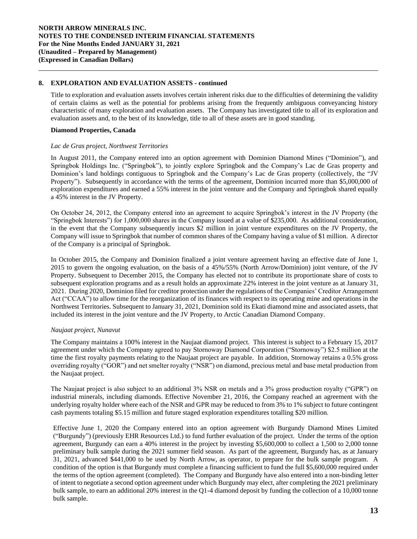## **8. EXPLORATION AND EVALUATION ASSETS - continued**

Title to exploration and evaluation assets involves certain inherent risks due to the difficulties of determining the validity of certain claims as well as the potential for problems arising from the frequently ambiguous conveyancing history characteristic of many exploration and evaluation assets. The Company has investigated title to all of its exploration and evaluation assets and, to the best of its knowledge, title to all of these assets are in good standing.

### **Diamond Properties, Canada**

#### *Lac de Gras project, Northwest Territories*

In August 2011, the Company entered into an option agreement with Dominion Diamond Mines ("Dominion"), and Springbok Holdings Inc. ("Springbok"), to jointly explore Springbok and the Company's Lac de Gras property and Dominion's land holdings contiguous to Springbok and the Company's Lac de Gras property (collectively, the "JV Property"). Subsequently in accordance with the terms of the agreement, Dominion incurred more than \$5,000,000 of exploration expenditures and earned a 55% interest in the joint venture and the Company and Springbok shared equally a 45% interest in the JV Property.

On October 24, 2012, the Company entered into an agreement to acquire Springbok's interest in the JV Property (the "Springbok Interests") for 1,000,000 shares in the Company issued at a value of \$235,000. As additional consideration, in the event that the Company subsequently incurs \$2 million in joint venture expenditures on the JV Property, the Company will issue to Springbok that number of common shares of the Company having a value of \$1 million. A director of the Company is a principal of Springbok.

In October 2015, the Company and Dominion finalized a joint venture agreement having an effective date of June 1, 2015 to govern the ongoing evaluation, on the basis of a 45%/55% (North Arrow/Dominion) joint venture, of the JV Property. Subsequent to December 2015, the Company has elected not to contribute its proportionate share of costs to subsequent exploration programs and as a result holds an approximate 22% interest in the joint venture as at January 31, 2021. During 2020, Dominion filed for creditor protection under the regulations of the Companies' Creditor Arrangement Act ("CCAA") to allow time for the reorganization of its finances with respect to its operating mine and operations in the Northwest Territories. Subsequent to January 31, 2021, Dominion sold its Ekati diamond mine and associated assets, that included its interest in the joint venture and the JV Property, to Arctic Canadian Diamond Company.

# *Naujaat project, Nunavut*

The Company maintains a 100% interest in the Naujaat diamond project. This interest is subject to a February 15, 2017 agreement under which the Company agreed to pay Stornoway Diamond Corporation ("Stornoway") \$2.5 million at the time the first royalty payments relating to the Naujaat project are payable. In addition, Stornoway retains a 0.5% gross overriding royalty ("GOR") and net smelter royalty ("NSR") on diamond, precious metal and base metal production from the Naujaat project.

The Naujaat project is also subject to an additional 3% NSR on metals and a 3% gross production royalty ("GPR") on industrial minerals, including diamonds. Effective November 21, 2016, the Company reached an agreement with the underlying royalty holder where each of the NSR and GPR may be reduced to from 3% to 1% subject to future contingent cash payments totaling \$5.15 million and future staged exploration expenditures totalling \$20 million.

Effective June 1, 2020 the Company entered into an option agreement with Burgundy Diamond Mines Limited ("Burgundy") (previously EHR Resources Ltd.) to fund further evaluation of the project. Under the terms of the option agreement, Burgundy can earn a 40% interest in the project by investing \$5,600,000 to collect a 1,500 to 2,000 tonne preliminary bulk sample during the 2021 summer field season. As part of the agreement, Burgundy has, as at January 31, 2021, advanced \$441,000 to be used by North Arrow, as operator, to prepare for the bulk sample program. A condition of the option is that Burgundy must complete a financing sufficient to fund the full \$5,600,000 required under the terms of the option agreement (completed). The Company and Burgundy have also entered into a non-binding letter of intent to negotiate a second option agreement under which Burgundy may elect, after completing the 2021 preliminary bulk sample, to earn an additional 20% interest in the Q1-4 diamond deposit by funding the collection of a 10,000 tonne bulk sample.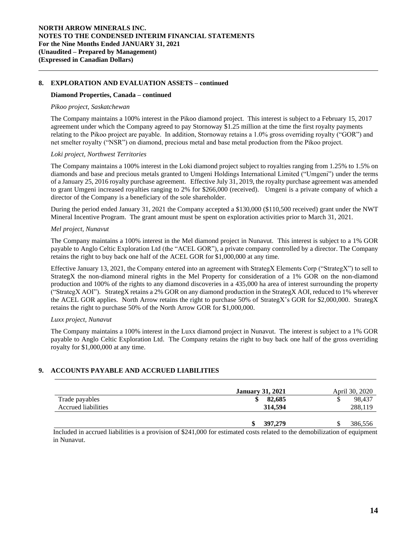## **8. EXPLORATION AND EVALUATION ASSETS – continued**

#### **Diamond Properties, Canada – continued**

#### *Pikoo project, Saskatchewan*

The Company maintains a 100% interest in the Pikoo diamond project. This interest is subject to a February 15, 2017 agreement under which the Company agreed to pay Stornoway \$1.25 million at the time the first royalty payments relating to the Pikoo project are payable. In addition, Stornoway retains a 1.0% gross overriding royalty ("GOR") and net smelter royalty ("NSR") on diamond, precious metal and base metal production from the Pikoo project.

### *Loki project, Northwest Territories*

The Company maintains a 100% interest in the Loki diamond project subject to royalties ranging from 1.25% to 1.5% on diamonds and base and precious metals granted to Umgeni Holdings International Limited ("Umgeni") under the terms of a January 25, 2016 royalty purchase agreement. Effective July 31, 2019, the royalty purchase agreement was amended to grant Umgeni increased royalties ranging to 2% for \$266,000 (received). Umgeni is a private company of which a director of the Company is a beneficiary of the sole shareholder.

During the period ended January 31, 2021 the Company accepted a \$130,000 (\$110,500 received) grant under the NWT Mineral Incentive Program. The grant amount must be spent on exploration activities prior to March 31, 2021.

### *Mel project, Nunavut*

The Company maintains a 100% interest in the Mel diamond project in Nunavut. This interest is subject to a 1% GOR payable to Anglo Celtic Exploration Ltd (the "ACEL GOR"), a private company controlled by a director. The Company retains the right to buy back one half of the ACEL GOR for \$1,000,000 at any time.

Effective January 13, 2021, the Company entered into an agreement with StrategX Elements Corp ("StrategX") to sell to StrategX the non-diamond mineral rights in the Mel Property for consideration of a 1% GOR on the non-diamond production and 100% of the rights to any diamond discoveries in a 435,000 ha area of interest surrounding the property ("StrategX AOI"). StrategX retains a 2% GOR on any diamond production in the StrategX AOI, reduced to 1% wherever the ACEL GOR applies. North Arrow retains the right to purchase 50% of StrategX's GOR for \$2,000,000. StrategX retains the right to purchase 50% of the North Arrow GOR for \$1,000,000.

#### *Luxx project, Nunavut*

The Company maintains a 100% interest in the Luxx diamond project in Nunavut. The interest is subject to a 1% GOR payable to Anglo Celtic Exploration Ltd. The Company retains the right to buy back one half of the gross overriding royalty for \$1,000,000 at any time.

# **9. ACCOUNTS PAYABLE AND ACCRUED LIABILITIES**

|                     | <b>January 31, 2021</b> | April 30, 2020 |
|---------------------|-------------------------|----------------|
| Trade payables      | 82,685                  | 98,437         |
| Accrued liabilities | 314,594                 | 288,119        |
|                     | 397,279                 | 386,556        |

Included in accrued liabilities is a provision of \$241,000 for estimated costs related to the demobilization of equipment in Nunavut.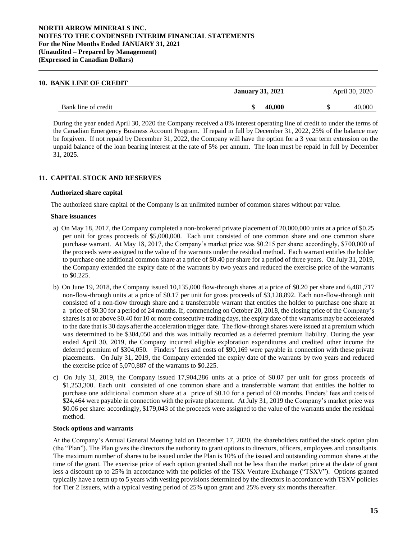## **NORTH ARROW MINERALS INC. NOTES TO THE CONDENSED INTERIM FINANCIAL STATEMENTS For the Nine Months Ended JANUARY 31, 2021 (Unaudited – Prepared by Management) (Expressed in Canadian Dollars)**

#### **10. BANK LINE OF CREDIT**

|                     | <b>January 31, 2021</b> |        | .2020<br>April 30 |  |
|---------------------|-------------------------|--------|-------------------|--|
| Bank line of credit |                         | 40.000 | ൜                 |  |

During the year ended April 30, 2020 the Company received a 0% interest operating line of credit to under the terms of the Canadian Emergency Business Account Program. If repaid in full by December 31, 2022, 25% of the balance may be forgiven. If not repaid by December 31, 2022, the Company will have the option for a 3 year term extension on the unpaid balance of the loan bearing interest at the rate of 5% per annum. The loan must be repaid in full by December 31, 2025.

# **11. CAPITAL STOCK AND RESERVES**

#### **Authorized share capital**

The authorized share capital of the Company is an unlimited number of common shares without par value.

#### **Share issuances**

- a) On May 18, 2017, the Company completed a non-brokered private placement of 20,000,000 units at a price of \$0.25 per unit for gross proceeds of \$5,000,000. Each unit consisted of one common share and one common share purchase warrant. At May 18, 2017, the Company's market price was \$0.215 per share: accordingly, \$700,000 of the proceeds were assigned to the value of the warrants under the residual method. Each warrant entitles the holder to purchase one additional common share at a price of \$0.40 per share for a period of three years. On July 31, 2019, the Company extended the expiry date of the warrants by two years and reduced the exercise price of the warrants to \$0.225.
- b) On June 19, 2018, the Company issued 10,135,000 flow-through shares at a price of \$0.20 per share and 6,481,717 non-flow-through units at a price of \$0.17 per unit for gross proceeds of \$3,128,892. Each non-flow-through unit consisted of a non-flow through share and a transferrable warrant that entitles the holder to purchase one share at a price of \$0.30 for a period of 24 months. If, commencing on October 20, 2018, the closing price of the Company's sharesis at or above \$0.40 for 10 or more consecutive trading days, the expiry date of the warrants may be accelerated to the date that is 30 days after the acceleration trigger date. The flow-through shares were issued at a premium which was determined to be \$304,050 and this was initially recorded as a deferred premium liability. During the year ended April 30, 2019, the Company incurred eligible exploration expenditures and credited other income the deferred premium of \$304,050. Finders' fees and costs of \$90,169 were payable in connection with these private placements. On July 31, 2019, the Company extended the expiry date of the warrants by two years and reduced the exercise price of 5,070,887 of the warrants to \$0.225.
- c) On July 31, 2019, the Company issued 17,904,286 units at a price of \$0.07 per unit for gross proceeds of \$1,253,300. Each unit consisted of one common share and a transferrable warrant that entitles the holder to purchase one additional common share at a price of \$0.10 for a period of 60 months. Finders' fees and costs of \$24,464 were payable in connection with the private placement. At July 31, 2019 the Company's market price was \$0.06 per share: accordingly, \$179,043 of the proceeds were assigned to the value of the warrants under the residual method.

#### **Stock options and warrants**

At the Company's Annual General Meeting held on December 17, 2020, the shareholders ratified the stock option plan (the "Plan"). The Plan gives the directors the authority to grant options to directors, officers, employees and consultants. The maximum number of shares to be issued under the Plan is 10% of the issued and outstanding common shares at the time of the grant. The exercise price of each option granted shall not be less than the market price at the date of grant less a discount up to 25% in accordance with the policies of the TSX Venture Exchange ("TSXV"). Options granted typically have a term up to 5 years with vesting provisions determined by the directors in accordance with TSXV policies for Tier 2 Issuers, with a typical vesting period of 25% upon grant and 25% every six months thereafter.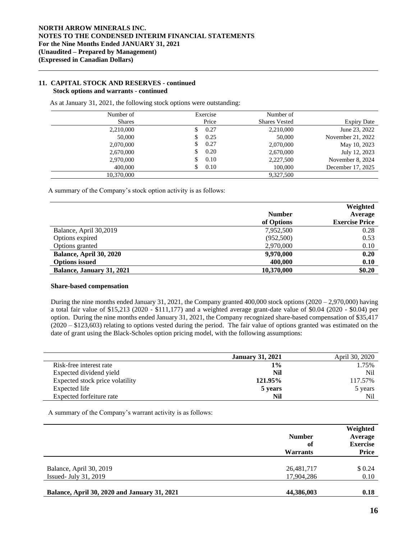### **11. CAPITAL STOCK AND RESERVES - continued Stock options and warrants - continued**

As at January 31, 2021, the following stock options were outstanding:

| Number of     | Exercise | Number of            |                    |
|---------------|----------|----------------------|--------------------|
| <b>Shares</b> | Price    | <b>Shares Vested</b> | <b>Expiry Date</b> |
| 2,210,000     | 0.27     | 2,210,000            | June 23, 2022      |
| 50,000        | 0.25     | 50,000               | November 21, 2022  |
| 2,070,000     | 0.27     | 2,070,000            | May 10, 2023       |
| 2,670,000     | 0.20     | 2,670,000            | July 12, 2023      |
| 2,970,000     | 0.10     | 2,227,500            | November 8, 2024   |
| 400,000       | 0.10     | 100,000              | December 17, 2025  |
| 10.370,000    |          | 9.327.500            |                    |

A summary of the Company's stock option activity is as follows:

|                           | <b>Number</b><br>of Options | Weighted<br>Average<br><b>Exercise Price</b> |
|---------------------------|-----------------------------|----------------------------------------------|
| Balance, April 30,2019    | 7,952,500                   | 0.28                                         |
| Options expired           | (952,500)                   | 0.53                                         |
| Options granted           | 2,970,000                   | 0.10                                         |
| Balance, April 30, 2020   | 9,970,000                   | 0.20                                         |
| <b>Options issued</b>     | 400,000                     | 0.10                                         |
| Balance, January 31, 2021 | 10,370,000                  | \$0.20                                       |

## **Share-based compensation**

During the nine months ended January 31, 2021, the Company granted 400,000 stock options (2020 – 2,970,000) having a total fair value of \$15,213 (2020 - \$111,177) and a weighted average grant-date value of \$0.04 (2020 - \$0.04) per option. During the nine months ended January 31, 2021, the Company recognized share-based compensation of \$35,417 (2020 – \$123,603) relating to options vested during the period. The fair value of options granted was estimated on the date of grant using the Black-Scholes option pricing model, with the following assumptions:

|                                 | <b>January 31, 2021</b> | April 30, 2020  |
|---------------------------------|-------------------------|-----------------|
| Risk-free interest rate         | 1%                      | 1.75%           |
| Expected dividend yield         | Nil                     | N <sub>il</sub> |
| Expected stock price volatility | 121.95%                 | 117.57%         |
| Expected life                   | 5 years                 | 5 years         |
| Expected forfeiture rate        | Nil                     | Nil             |

A summary of the Company's warrant activity is as follows:

|                                                     | <b>Number</b><br>of<br><b>Warrants</b> | Weighted<br>Average<br><b>Exercise</b><br>Price |
|-----------------------------------------------------|----------------------------------------|-------------------------------------------------|
| Balance, April 30, 2019<br>Issued- July $31, 2019$  | 26,481,717<br>17,904,286               | \$ 0.24<br>0.10                                 |
| <b>Balance, April 30, 2020 and January 31, 2021</b> | 44,386,003                             | 0.18                                            |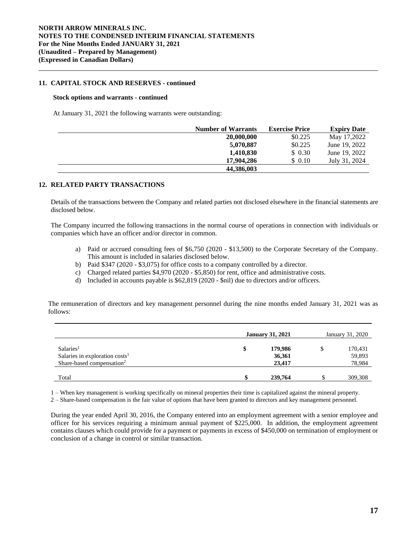## **11. CAPITAL STOCK AND RESERVES - continued**

#### **Stock options and warrants - continued**

At January 31, 2021 the following warrants were outstanding:

| <b>Number of Warrants</b> | <b>Exercise Price</b> | <b>Expiry Date</b> |
|---------------------------|-----------------------|--------------------|
| 20,000,000                | \$0.225               | May 17,2022        |
| 5,070,887                 | \$0.225               | June 19, 2022      |
| 1,410,830                 | \$ 0.30               | June 19, 2022      |
| 17,904,286                | \$ 0.10               | July 31, 2024      |
| 44,386,003                |                       |                    |

# **12. RELATED PARTY TRANSACTIONS**

Details of the transactions between the Company and related parties not disclosed elsewhere in the financial statements are disclosed below.

The Company incurred the following transactions in the normal course of operations in connection with individuals or companies which have an officer and/or director in common.

- a) Paid or accrued consulting fees of \$6,750 (2020 \$13,500) to the Corporate Secretary of the Company. This amount is included in salaries disclosed below.
- b) Paid \$347 (2020 \$3,075) for office costs to a company controlled by a director.
- c) Charged related parties \$4,970 (2020 \$5,850) for rent, office and administrative costs.
- d) Included in accounts payable is \$62,819 (2020 \$nil) due to directors and/or officers.

The remuneration of directors and key management personnel during the nine months ended January 31, 2021 was as follows:

|                                            | <b>January 31, 2021</b> |         | January 31, 2020 |         |
|--------------------------------------------|-------------------------|---------|------------------|---------|
| Salaries <sup>1</sup>                      | \$                      | 179,986 |                  | 170,431 |
| Salaries in exploration costs <sup>1</sup> |                         | 36,361  |                  | 59,893  |
| Share-based compensation <sup>2</sup>      |                         | 23,417  |                  | 78,984  |
|                                            |                         |         |                  |         |
| Total                                      |                         | 239,764 |                  | 309,308 |

1 – When key management is working specifically on mineral properties their time is capitalized against the mineral property.

2 – Share-based compensation is the fair value of options that have been granted to directors and key management personnel.

During the year ended April 30, 2016, the Company entered into an employment agreement with a senior employee and officer for his services requiring a minimum annual payment of \$225,000. In addition, the employment agreement contains clauses which could provide for a payment or payments in excess of \$450,000 on termination of employment or conclusion of a change in control or similar transaction.